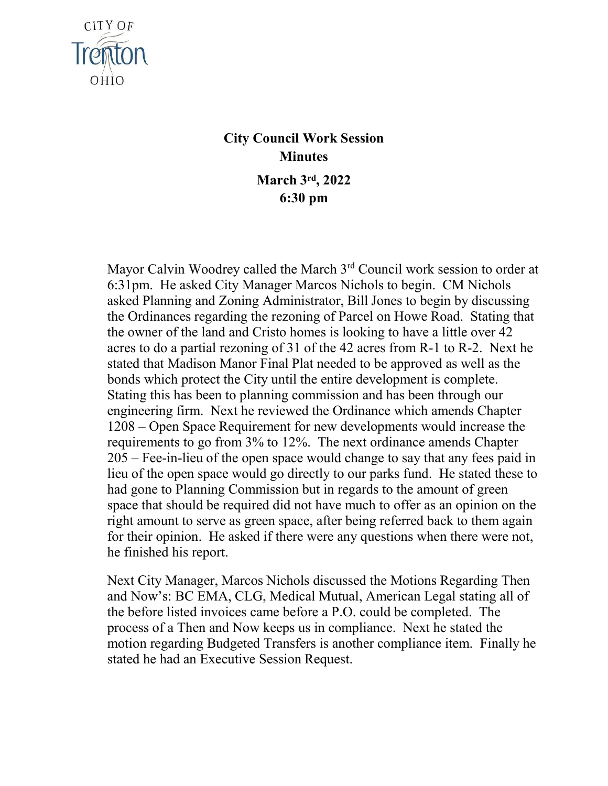

## **City Council Work Session Minutes March 3rd, 2022 6:30 pm**

Mayor Calvin Woodrey called the March 3<sup>rd</sup> Council work session to order at 6:31pm. He asked City Manager Marcos Nichols to begin. CM Nichols asked Planning and Zoning Administrator, Bill Jones to begin by discussing the Ordinances regarding the rezoning of Parcel on Howe Road. Stating that the owner of the land and Cristo homes is looking to have a little over 42 acres to do a partial rezoning of 31 of the 42 acres from R-1 to R-2. Next he stated that Madison Manor Final Plat needed to be approved as well as the bonds which protect the City until the entire development is complete. Stating this has been to planning commission and has been through our engineering firm. Next he reviewed the Ordinance which amends Chapter 1208 – Open Space Requirement for new developments would increase the requirements to go from 3% to 12%. The next ordinance amends Chapter 205 – Fee-in-lieu of the open space would change to say that any fees paid in lieu of the open space would go directly to our parks fund. He stated these to had gone to Planning Commission but in regards to the amount of green space that should be required did not have much to offer as an opinion on the right amount to serve as green space, after being referred back to them again for their opinion. He asked if there were any questions when there were not, he finished his report.

Next City Manager, Marcos Nichols discussed the Motions Regarding Then and Now's: BC EMA, CLG, Medical Mutual, American Legal stating all of the before listed invoices came before a P.O. could be completed. The process of a Then and Now keeps us in compliance. Next he stated the motion regarding Budgeted Transfers is another compliance item. Finally he stated he had an Executive Session Request.